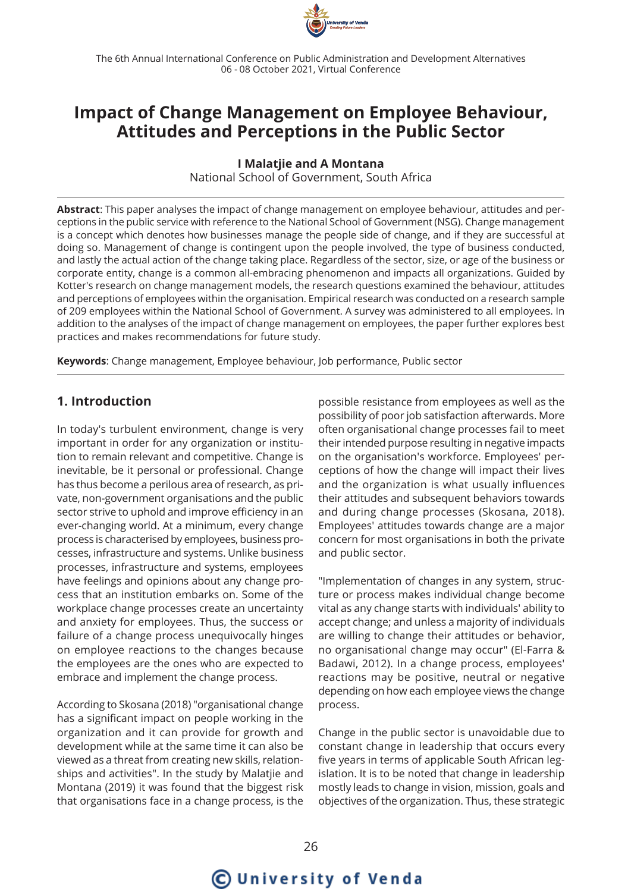

The 6th Annual International Conference on Public Administration and Development Alternatives 06 - 08 October 2021, Virtual Conference

# **Impact of Change Management on Employee Behaviour, Attitudes and Perceptions in the Public Sector**

**I Malatjie and A Montana**

National School of Government, South Africa

**Abstract**: This paper analyses the impact of change management on employee behaviour, attitudes and perceptions in the public service with reference to the National School of Government (NSG). Change management is a concept which denotes how businesses manage the people side of change, and if they are successful at doing so. Management of change is contingent upon the people involved, the type of business conducted, and lastly the actual action of the change taking place. Regardless of the sector, size, or age of the business or corporate entity, change is a common all-embracing phenomenon and impacts all organizations. Guided by Kotter's research on change management models, the research questions examined the behaviour, attitudes and perceptions of employees within the organisation. Empirical research was conducted on a research sample of 209 employees within the National School of Government. A survey was administered to all employees. In addition to the analyses of the impact of change management on employees, the paper further explores best practices and makes recommendations for future study.

**Keywords**: Change management, Employee behaviour, Job performance, Public sector

# **1. Introduction**

In today's turbulent environment, change is very important in order for any organization or institution to remain relevant and competitive. Change is inevitable, be it personal or professional. Change has thus become a perilous area of research, as private, non-government organisations and the public sector strive to uphold and improve efficiency in an ever-changing world. At a minimum, every change process is characterised by employees, business processes, infrastructure and systems. Unlike business processes, infrastructure and systems, employees have feelings and opinions about any change process that an institution embarks on. Some of the workplace change processes create an uncertainty and anxiety for employees. Thus, the success or failure of a change process unequivocally hinges on employee reactions to the changes because the employees are the ones who are expected to embrace and implement the change process.

According to Skosana (2018) "organisational change has a significant impact on people working in the organization and it can provide for growth and development while at the same time it can also be viewed as a threat from creating new skills, relationships and activities". In the study by Malatjie and Montana (2019) it was found that the biggest risk that organisations face in a change process, is the possible resistance from employees as well as the possibility of poor job satisfaction afterwards. More often organisational change processes fail to meet their intended purpose resulting in negative impacts on the organisation's workforce. Employees' perceptions of how the change will impact their lives and the organization is what usually influences their attitudes and subsequent behaviors towards and during change processes (Skosana, 2018). Employees' attitudes towards change are a major concern for most organisations in both the private and public sector.

"Implementation of changes in any system, structure or process makes individual change become vital as any change starts with individuals' ability to accept change; and unless a majority of individuals are willing to change their attitudes or behavior, no organisational change may occur" (El-Farra & Badawi, 2012). In a change process, employees' reactions may be positive, neutral or negative depending on how each employee views the change process.

Change in the public sector is unavoidable due to constant change in leadership that occurs every five years in terms of applicable South African legislation. It is to be noted that change in leadership mostly leads to change in vision, mission, goals and objectives of the organization. Thus, these strategic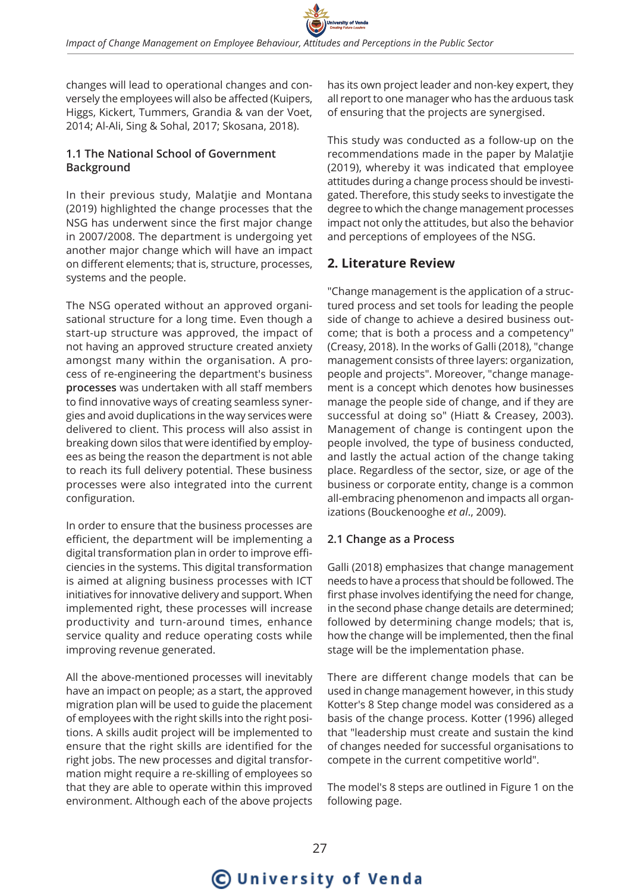changes will lead to operational changes and conversely the employees will also be affected (Kuipers, Higgs, Kickert, Tummers, Grandia & van der Voet, 2014; Al-Ali, Sing & Sohal, 2017; Skosana, 2018).

# **1.1 The National School of Government Background**

In their previous study, Malatjie and Montana (2019) highlighted the change processes that the NSG has underwent since the first major change in 2007/2008. The department is undergoing yet another major change which will have an impact on different elements; that is, structure, processes, systems and the people.

The NSG operated without an approved organisational structure for a long time. Even though a start-up structure was approved, the impact of not having an approved structure created anxiety amongst many within the organisation. A process of re-engineering the department's business **processes** was undertaken with all staff members to find innovative ways of creating seamless synergies and avoid duplications in the way services were delivered to client. This process will also assist in breaking down silos that were identified by employees as being the reason the department is not able to reach its full delivery potential. These business processes were also integrated into the current configuration.

In order to ensure that the business processes are efficient, the department will be implementing a digital transformation plan in order to improve efficiencies in the systems. This digital transformation is aimed at aligning business processes with ICT initiatives for innovative delivery and support. When implemented right, these processes will increase productivity and turn-around times, enhance service quality and reduce operating costs while improving revenue generated.

All the above-mentioned processes will inevitably have an impact on people; as a start, the approved migration plan will be used to guide the placement of employees with the right skills into the right positions. A skills audit project will be implemented to ensure that the right skills are identified for the right jobs. The new processes and digital transformation might require a re-skilling of employees so that they are able to operate within this improved environment. Although each of the above projects has its own project leader and non-key expert, they all report to one manager who has the arduous task of ensuring that the projects are synergised.

This study was conducted as a follow-up on the recommendations made in the paper by Malatjie (2019), whereby it was indicated that employee attitudes during a change process should be investigated. Therefore, this study seeks to investigate the degree to which the change management processes impact not only the attitudes, but also the behavior and perceptions of employees of the NSG.

# **2. Literature Review**

"Change management is the application of a structured process and set tools for leading the people side of change to achieve a desired business outcome; that is both a process and a competency" (Creasy, 2018). In the works of Galli (2018), "change management consists of three layers: organization, people and projects". Moreover, "change management is a concept which denotes how businesses manage the people side of change, and if they are successful at doing so" (Hiatt & Creasey, 2003). Management of change is contingent upon the people involved, the type of business conducted, and lastly the actual action of the change taking place. Regardless of the sector, size, or age of the business or corporate entity, change is a common all-embracing phenomenon and impacts all organizations (Bouckenooghe *et al*., 2009).

# **2.1 Change as a Process**

Galli (2018) emphasizes that change management needs to have a process that should be followed. The first phase involves identifying the need for change, in the second phase change details are determined; followed by determining change models; that is, how the change will be implemented, then the final stage will be the implementation phase.

There are different change models that can be used in change management however, in this study Kotter's 8 Step change model was considered as a basis of the change process. Kotter (1996) alleged that "leadership must create and sustain the kind of changes needed for successful organisations to compete in the current competitive world".

The model's 8 steps are outlined in Figure 1 on the following page.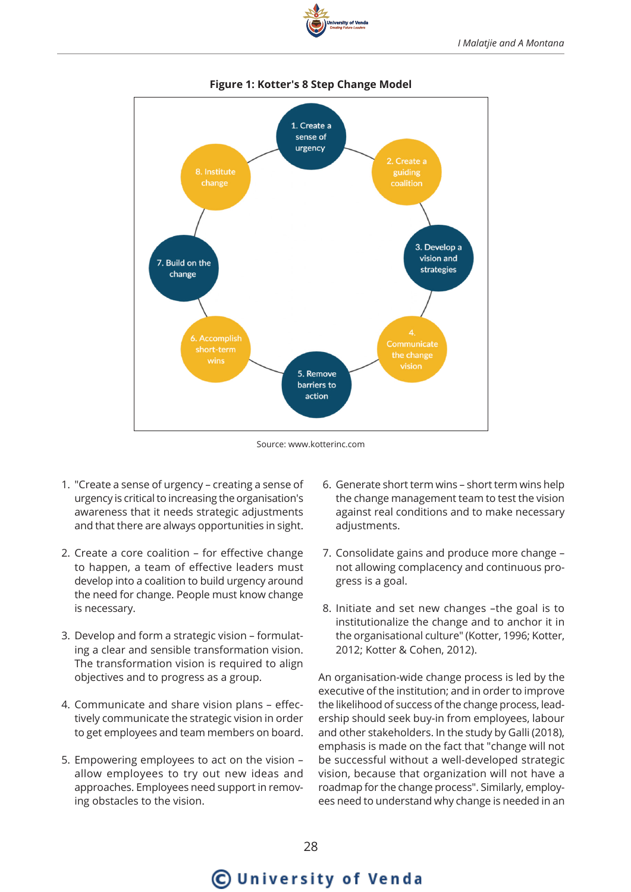



### **Figure 1: Kotter's 8 Step Change Model**

Source: www.kotterinc.com

- 1. "Create a sense of urgency creating a sense of urgency is critical to increasing the organisation's awareness that it needs strategic adjustments and that there are always opportunities in sight.
- 2. Create a core coalition for effective change to happen, a team of effective leaders must develop into a coalition to build urgency around the need for change. People must know change is necessary.
- 3. Develop and form a strategic vision formulating a clear and sensible transformation vision. The transformation vision is required to align objectives and to progress as a group.
- 4. Communicate and share vision plans effectively communicate the strategic vision in order to get employees and team members on board.
- 5. Empowering employees to act on the vision allow employees to try out new ideas and approaches. Employees need support in removing obstacles to the vision.
- 6. Generate short term wins short term wins help the change management team to test the vision against real conditions and to make necessary adjustments.
- 7. Consolidate gains and produce more change not allowing complacency and continuous progress is a goal.
- 8. Initiate and set new changes –the goal is to institutionalize the change and to anchor it in the organisational culture" (Kotter, 1996; Kotter, 2012; Kotter & Cohen, 2012).

An organisation-wide change process is led by the executive of the institution; and in order to improve the likelihood of success of the change process, leadership should seek buy-in from employees, labour and other stakeholders. In the study by Galli (2018), emphasis is made on the fact that "change will not be successful without a well-developed strategic vision, because that organization will not have a roadmap for the change process". Similarly, employees need to understand why change is needed in an

# C University of Venda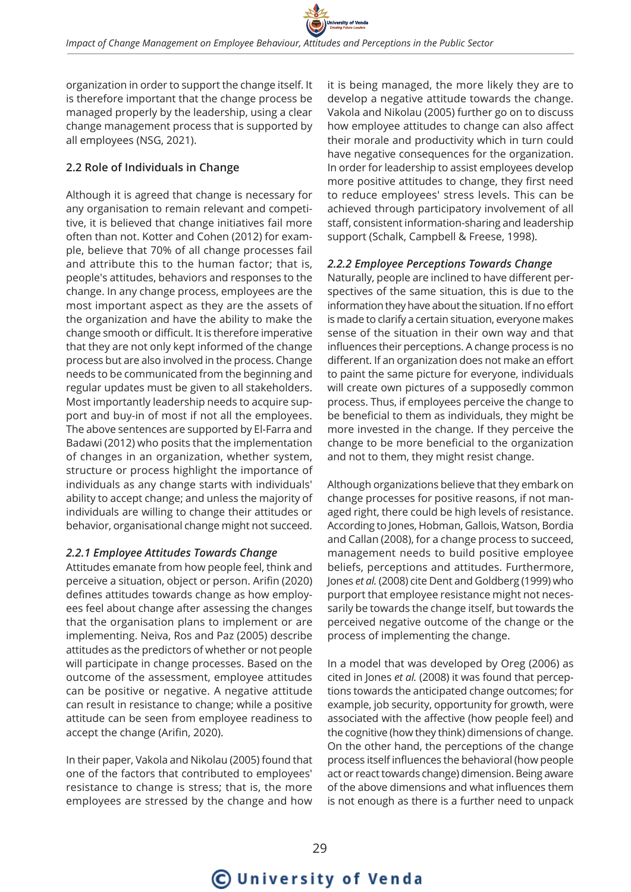organization in order to support the change itself. It is therefore important that the change process be managed properly by the leadership, using a clear change management process that is supported by all employees (NSG, 2021).

# **2.2 Role of Individuals in Change**

Although it is agreed that change is necessary for any organisation to remain relevant and competitive, it is believed that change initiatives fail more often than not. Kotter and Cohen (2012) for example, believe that 70% of all change processes fail and attribute this to the human factor; that is, people's attitudes, behaviors and responses to the change. In any change process, employees are the most important aspect as they are the assets of the organization and have the ability to make the change smooth or difficult. It is therefore imperative that they are not only kept informed of the change process but are also involved in the process. Change needs to be communicated from the beginning and regular updates must be given to all stakeholders. Most importantly leadership needs to acquire support and buy-in of most if not all the employees. The above sentences are supported by El-Farra and Badawi (2012) who posits that the implementation of changes in an organization, whether system, structure or process highlight the importance of individuals as any change starts with individuals' ability to accept change; and unless the majority of individuals are willing to change their attitudes or behavior, organisational change might not succeed.

### *2.2.1 Employee Attitudes Towards Change*

Attitudes emanate from how people feel, think and perceive a situation, object or person. Arifin (2020) defines attitudes towards change as how employees feel about change after assessing the changes that the organisation plans to implement or are implementing. Neiva, Ros and Paz (2005) describe attitudes as the predictors of whether or not people will participate in change processes. Based on the outcome of the assessment, employee attitudes can be positive or negative. A negative attitude can result in resistance to change; while a positive attitude can be seen from employee readiness to accept the change (Arifin, 2020).

In their paper, Vakola and Nikolau (2005) found that one of the factors that contributed to employees' resistance to change is stress; that is, the more employees are stressed by the change and how

it is being managed, the more likely they are to develop a negative attitude towards the change. Vakola and Nikolau (2005) further go on to discuss how employee attitudes to change can also affect their morale and productivity which in turn could have negative consequences for the organization. In order for leadership to assist employees develop more positive attitudes to change, they first need to reduce employees' stress levels. This can be achieved through participatory involvement of all staff, consistent information-sharing and leadership support (Schalk, Campbell & Freese, 1998).

#### *2.2.2 Employee Perceptions Towards Change*

Naturally, people are inclined to have different perspectives of the same situation, this is due to the information they have about the situation. If no effort is made to clarify a certain situation, everyone makes sense of the situation in their own way and that influences their perceptions. A change process is no different. If an organization does not make an effort to paint the same picture for everyone, individuals will create own pictures of a supposedly common process. Thus, if employees perceive the change to be beneficial to them as individuals, they might be more invested in the change. If they perceive the change to be more beneficial to the organization and not to them, they might resist change.

Although organizations believe that they embark on change processes for positive reasons, if not managed right, there could be high levels of resistance. According to Jones, Hobman, Gallois, Watson, Bordia and Callan (2008), for a change process to succeed, management needs to build positive employee beliefs, perceptions and attitudes. Furthermore, Jones *et al.* (2008) cite Dent and Goldberg (1999) who purport that employee resistance might not necessarily be towards the change itself, but towards the perceived negative outcome of the change or the process of implementing the change.

In a model that was developed by Oreg (2006) as cited in Jones *et al.* (2008) it was found that perceptions towards the anticipated change outcomes; for example, job security, opportunity for growth, were associated with the affective (how people feel) and the cognitive (how they think) dimensions of change. On the other hand, the perceptions of the change process itself influences the behavioral (how people act or react towards change) dimension. Being aware of the above dimensions and what influences them is not enough as there is a further need to unpack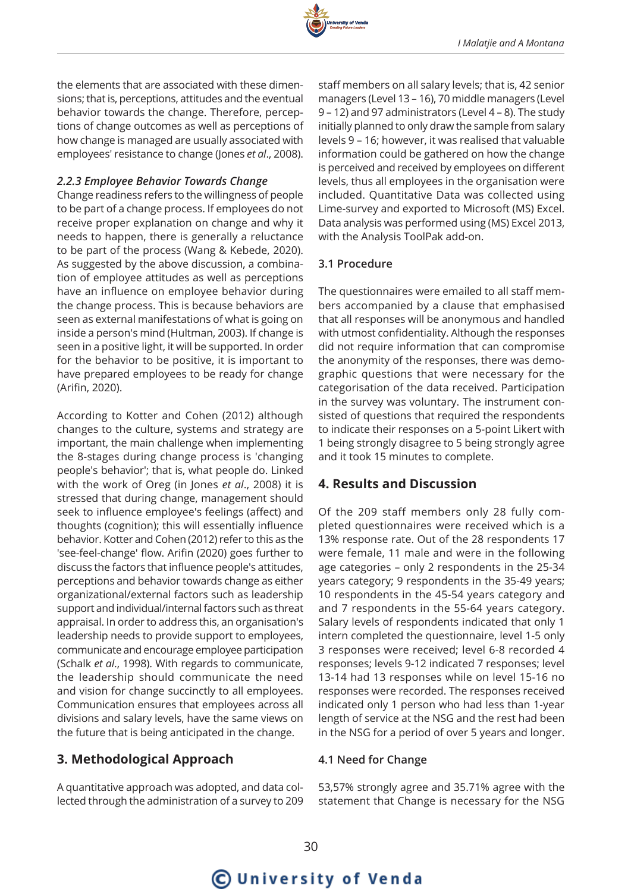

the elements that are associated with these dimensions; that is, perceptions, attitudes and the eventual behavior towards the change. Therefore, perceptions of change outcomes as well as perceptions of how change is managed are usually associated with employees' resistance to change (Jones *et al*., 2008).

#### *2.2.3 Employee Behavior Towards Change*

Change readiness refers to the willingness of people to be part of a change process. If employees do not receive proper explanation on change and why it needs to happen, there is generally a reluctance to be part of the process (Wang & Kebede, 2020). As suggested by the above discussion, a combination of employee attitudes as well as perceptions have an influence on employee behavior during the change process. This is because behaviors are seen as external manifestations of what is going on inside a person's mind (Hultman, 2003). If change is seen in a positive light, it will be supported. In order for the behavior to be positive, it is important to have prepared employees to be ready for change (Arifin, 2020).

According to Kotter and Cohen (2012) although changes to the culture, systems and strategy are important, the main challenge when implementing the 8-stages during change process is 'changing people's behavior'; that is, what people do. Linked with the work of Oreg (in Jones *et al*., 2008) it is stressed that during change, management should seek to influence employee's feelings (affect) and thoughts (cognition); this will essentially influence behavior. Kotter and Cohen (2012) refer to this as the 'see-feel-change' flow. Arifin (2020) goes further to discuss the factors that influence people's attitudes, perceptions and behavior towards change as either organizational/external factors such as leadership support and individual/internal factors such as threat appraisal. In order to address this, an organisation's leadership needs to provide support to employees, communicate and encourage employee participation (Schalk *et al*., 1998). With regards to communicate, the leadership should communicate the need and vision for change succinctly to all employees. Communication ensures that employees across all divisions and salary levels, have the same views on the future that is being anticipated in the change.

# **3. Methodological Approach**

A quantitative approach was adopted, and data collected through the administration of a survey to 209

staff members on all salary levels; that is, 42 senior managers (Level 13 – 16), 70 middle managers (Level 9 – 12) and 97 administrators (Level 4 – 8). The study initially planned to only draw the sample from salary levels 9 – 16; however, it was realised that valuable information could be gathered on how the change is perceived and received by employees on different levels, thus all employees in the organisation were included. Quantitative Data was collected using Lime-survey and exported to Microsoft (MS) Excel. Data analysis was performed using (MS) Excel 2013, with the Analysis ToolPak add-on.

### **3.1 Procedure**

The questionnaires were emailed to all staff members accompanied by a clause that emphasised that all responses will be anonymous and handled with utmost confidentiality. Although the responses did not require information that can compromise the anonymity of the responses, there was demographic questions that were necessary for the categorisation of the data received. Participation in the survey was voluntary. The instrument consisted of questions that required the respondents to indicate their responses on a 5-point Likert with 1 being strongly disagree to 5 being strongly agree and it took 15 minutes to complete.

# **4. Results and Discussion**

Of the 209 staff members only 28 fully completed questionnaires were received which is a 13% response rate. Out of the 28 respondents 17 were female, 11 male and were in the following age categories – only 2 respondents in the 25-34 years category; 9 respondents in the 35-49 years; 10 respondents in the 45-54 years category and and 7 respondents in the 55-64 years category. Salary levels of respondents indicated that only 1 intern completed the questionnaire, level 1-5 only 3 responses were received; level 6-8 recorded 4 responses; levels 9-12 indicated 7 responses; level 13-14 had 13 responses while on level 15-16 no responses were recorded. The responses received indicated only 1 person who had less than 1-year length of service at the NSG and the rest had been in the NSG for a period of over 5 years and longer.

### **4.1 Need for Change**

53,57% strongly agree and 35.71% agree with the statement that Change is necessary for the NSG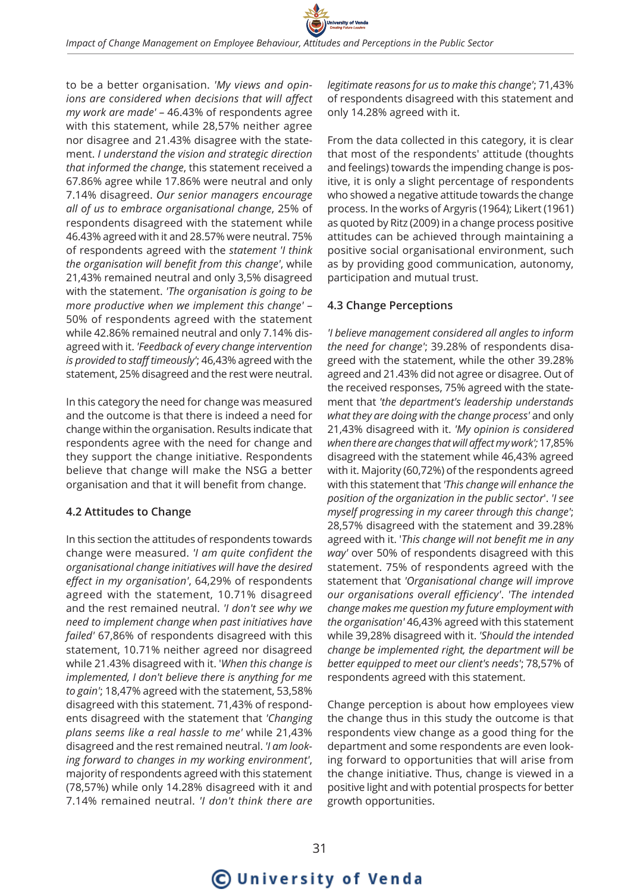

to be a better organisation. *'My views and opinions are considered when decisions that will affect my work are made'* – 46.43% of respondents agree with this statement, while 28,57% neither agree nor disagree and 21.43% disagree with the statement. *I understand the vision and strategic direction that informed the change*, this statement received a 67.86% agree while 17.86% were neutral and only 7.14% disagreed. *Our senior managers encourage all of us to embrace organisational change*, 25% of respondents disagreed with the statement while 46.43% agreed with it and 28.57% were neutral. 75% of respondents agreed with the *statement 'I think the organisation will benefit from this change'*, while 21,43% remained neutral and only 3,5% disagreed with the statement. *'The organisation is going to be more productive when we implement this change'* – 50% of respondents agreed with the statement while 42.86% remained neutral and only 7.14% disagreed with it. *'Feedback of every change intervention is provided to staff timeously'*; 46,43% agreed with the statement, 25% disagreed and the rest were neutral.

In this category the need for change was measured and the outcome is that there is indeed a need for change within the organisation. Results indicate that respondents agree with the need for change and they support the change initiative. Respondents believe that change will make the NSG a better organisation and that it will benefit from change.

#### **4.2 Attitudes to Change**

In this section the attitudes of respondents towards change were measured. *'I am quite confident the organisational change initiatives will have the desired effect in my organisation'*, 64,29% of respondents agreed with the statement, 10.71% disagreed and the rest remained neutral. *'I don't see why we need to implement change when past initiatives have failed'* 67,86% of respondents disagreed with this statement, 10.71% neither agreed nor disagreed while 21.43% disagreed with it. '*When this change is implemented, I don't believe there is anything for me to gain'*; 18,47% agreed with the statement, 53,58% disagreed with this statement. 71,43% of respondents disagreed with the statement that *'Changing plans seems like a real hassle to me'* while 21,43% disagreed and the rest remained neutral. *'I am looking forward to changes in my working environment'*, majority of respondents agreed with this statement (78,57%) while only 14.28% disagreed with it and 7.14% remained neutral. *'I don't think there are*  *legitimate reasons for us to make this change'*; 71,43% of respondents disagreed with this statement and only 14.28% agreed with it.

From the data collected in this category, it is clear that most of the respondents' attitude (thoughts and feelings) towards the impending change is positive, it is only a slight percentage of respondents who showed a negative attitude towards the change process. In the works of Argyris (1964); Likert (1961) as quoted by Ritz (2009) in a change process positive attitudes can be achieved through maintaining a positive social organisational environment, such as by providing good communication, autonomy, participation and mutual trust.

#### **4.3 Change Perceptions**

*'I believe management considered all angles to inform the need for change'*; 39.28% of respondents disagreed with the statement, while the other 39.28% agreed and 21.43% did not agree or disagree. Out of the received responses, 75% agreed with the statement that *'the department's leadership understands what they are doing with the change process'* and only 21,43% disagreed with it. *'My opinion is considered when there are changes that will affect my work';* 17,85% disagreed with the statement while 46,43% agreed with it. Majority (60,72%) of the respondents agreed with this statement that *'This change will enhance the position of the organization in the public sector*'. *'I see myself progressing in my career through this change'*; 28,57% disagreed with the statement and 39.28% agreed with it. '*This change will not benefit me in any way'* over 50% of respondents disagreed with this statement. 75% of respondents agreed with the statement that *'Organisational change will improve our organisations overall efficiency'*. *'The intended change makes me question my future employment with the organisation'* 46,43% agreed with this statement while 39,28% disagreed with it. *'Should the intended change be implemented right, the department will be better equipped to meet our client's needs'*; 78,57% of respondents agreed with this statement.

Change perception is about how employees view the change thus in this study the outcome is that respondents view change as a good thing for the department and some respondents are even looking forward to opportunities that will arise from the change initiative. Thus, change is viewed in a positive light and with potential prospects for better growth opportunities.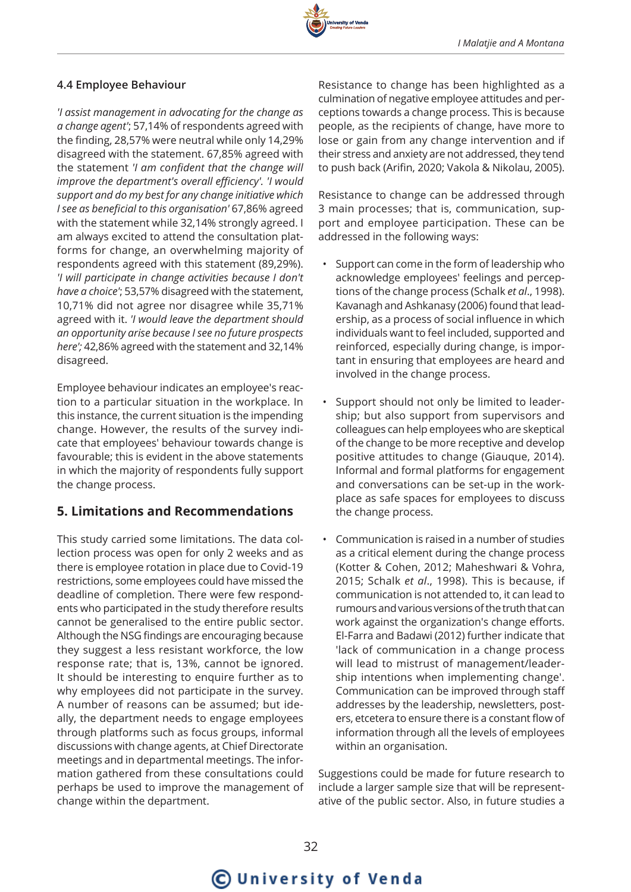

## **4.4 Employee Behaviour**

*'I assist management in advocating for the change as a change agent'*; 57,14% of respondents agreed with the finding, 28,57% were neutral while only 14,29% disagreed with the statement. 67,85% agreed with the statement *'I am confident that the change will improve the department's overall efficiency'. 'I would support and do my best for any change initiative which I see as beneficial to this organisation'* 67,86% agreed with the statement while 32,14% strongly agreed. I am always excited to attend the consultation platforms for change, an overwhelming majority of respondents agreed with this statement (89,29%). *'I will participate in change activities because I don't have a choice'*; 53,57% disagreed with the statement, 10,71% did not agree nor disagree while 35,71% agreed with it. *'I would leave the department should an opportunity arise because I see no future prospects here';* 42,86% agreed with the statement and 32,14% disagreed.

Employee behaviour indicates an employee's reaction to a particular situation in the workplace. In this instance, the current situation is the impending change. However, the results of the survey indicate that employees' behaviour towards change is favourable; this is evident in the above statements in which the majority of respondents fully support the change process.

# **5. Limitations and Recommendations**

This study carried some limitations. The data collection process was open for only 2 weeks and as there is employee rotation in place due to Covid-19 restrictions, some employees could have missed the deadline of completion. There were few respondents who participated in the study therefore results cannot be generalised to the entire public sector. Although the NSG findings are encouraging because they suggest a less resistant workforce, the low response rate; that is, 13%, cannot be ignored. It should be interesting to enquire further as to why employees did not participate in the survey. A number of reasons can be assumed; but ideally, the department needs to engage employees through platforms such as focus groups, informal discussions with change agents, at Chief Directorate meetings and in departmental meetings. The information gathered from these consultations could perhaps be used to improve the management of change within the department.

Resistance to change has been highlighted as a culmination of negative employee attitudes and perceptions towards a change process. This is because people, as the recipients of change, have more to lose or gain from any change intervention and if their stress and anxiety are not addressed, they tend to push back (Arifin, 2020; Vakola & Nikolau, 2005).

Resistance to change can be addressed through 3 main processes; that is, communication, support and employee participation. These can be addressed in the following ways:

- Support can come in the form of leadership who acknowledge employees' feelings and perceptions of the change process (Schalk *et al*., 1998). Kavanagh and Ashkanasy (2006) found that leadership, as a process of social influence in which individuals want to feel included, supported and reinforced, especially during change, is important in ensuring that employees are heard and involved in the change process.
- Support should not only be limited to leadership; but also support from supervisors and colleagues can help employees who are skeptical of the change to be more receptive and develop positive attitudes to change (Giauque, 2014). Informal and formal platforms for engagement and conversations can be set-up in the workplace as safe spaces for employees to discuss the change process.
- Communication is raised in a number of studies as a critical element during the change process (Kotter & Cohen, 2012; Maheshwari & Vohra, 2015; Schalk *et al*., 1998). This is because, if communication is not attended to, it can lead to rumours and various versions of the truth that can work against the organization's change efforts. El-Farra and Badawi (2012) further indicate that 'lack of communication in a change process will lead to mistrust of management/leadership intentions when implementing change'. Communication can be improved through staff addresses by the leadership, newsletters, posters, etcetera to ensure there is a constant flow of information through all the levels of employees within an organisation.

Suggestions could be made for future research to include a larger sample size that will be representative of the public sector. Also, in future studies a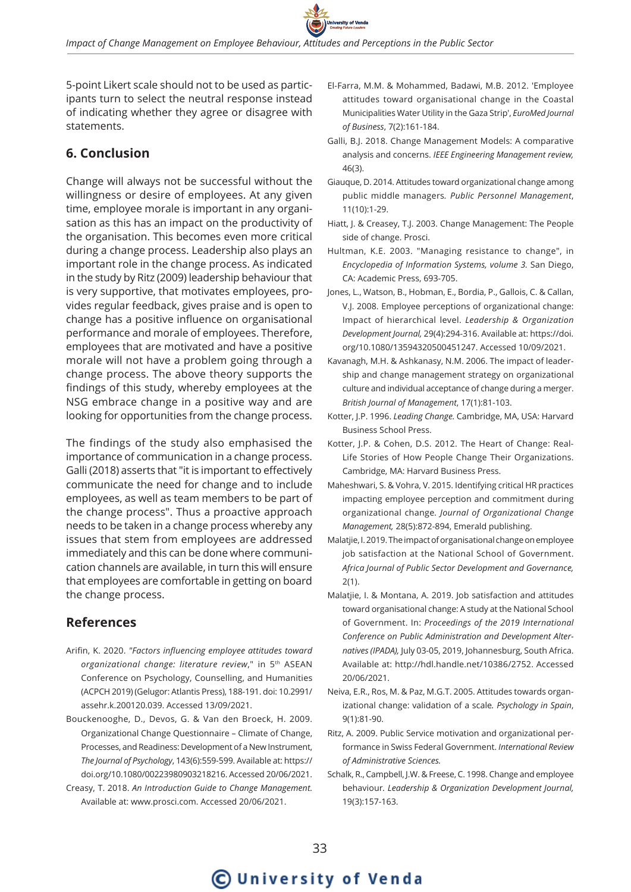

5-point Likert scale should not to be used as participants turn to select the neutral response instead of indicating whether they agree or disagree with statements.

# **6. Conclusion**

Change will always not be successful without the willingness or desire of employees. At any given time, employee morale is important in any organisation as this has an impact on the productivity of the organisation. This becomes even more critical during a change process. Leadership also plays an important role in the change process. As indicated in the study by Ritz (2009) leadership behaviour that is very supportive, that motivates employees, provides regular feedback, gives praise and is open to change has a positive influence on organisational performance and morale of employees. Therefore, employees that are motivated and have a positive morale will not have a problem going through a change process. The above theory supports the findings of this study, whereby employees at the NSG embrace change in a positive way and are looking for opportunities from the change process.

The findings of the study also emphasised the importance of communication in a change process. Galli (2018) asserts that "it is important to effectively communicate the need for change and to include employees, as well as team members to be part of the change process". Thus a proactive approach needs to be taken in a change process whereby any issues that stem from employees are addressed immediately and this can be done where communication channels are available, in turn this will ensure that employees are comfortable in getting on board the change process.

# **References**

- Arifin, K. 2020. *"Factors influencing employee attitudes toward organizational change: literature review*," in 5th ASEAN Conference on Psychology, Counselling, and Humanities (ACPCH 2019) (Gelugor: Atlantis Press), 188-191. doi: 10.2991/ assehr.k.200120.039. Accessed 13/09/2021.
- Bouckenooghe, D., Devos, G. & Van den Broeck, H. 2009. Organizational Change Questionnaire – Climate of Change, Processes, and Readiness: Development of a New Instrument, *The Journal of Psychology*, 143(6):559-599. Available at: https:// doi.org/10.1080/00223980903218216. Accessed 20/06/2021.
- Creasy, T. 2018. *An Introduction Guide to Change Management.*  Available at: www.prosci.com. Accessed 20/06/2021.
- El-Farra, M.M. & Mohammed, Badawi, M.B. 2012. 'Employee attitudes toward organisational change in the Coastal Municipalities Water Utility in the Gaza Strip', *EuroMed Journal of Business*, 7(2):161-184.
- Galli, B.J. 2018. Change Management Models: A comparative analysis and concerns. *IEEE Engineering Management review,*  46(3).
- Giauque, D. 2014. Attitudes toward organizational change among public middle managers*. Public Personnel Management*, 11(10):1-29.
- Hiatt, J. & Creasey, T.J. 2003. Change Management: The People side of change. Prosci.
- Hultman, K.E. 2003. "Managing resistance to change", in *Encyclopedia of Information Systems, volume 3.* San Diego, CA: Academic Press, 693-705.
- Jones, L., Watson, B., Hobman, E., Bordia, P., Gallois, C. & Callan, V.J. 2008. Employee perceptions of organizational change: Impact of hierarchical level. *Leadership & Organization Development Journal,* 29(4):294-316. Available at: https://doi. org/10.1080/13594320500451247. Accessed 10/09/2021.
- Kavanagh, M.H. & Ashkanasy, N.M. 2006. The impact of leadership and change management strategy on organizational culture and individual acceptance of change during a merger. *British Journal of Management*, 17(1):81-103.
- Kotter, J.P. 1996. *Leading Change.* Cambridge, MA, USA: Harvard Business School Press.
- Kotter, J.P. & Cohen, D.S. 2012. The Heart of Change: Real-Life Stories of How People Change Their Organizations. Cambridge, MA: Harvard Business Press.
- Maheshwari, S. & Vohra, V. 2015. Identifying critical HR practices impacting employee perception and commitment during organizational change*. Journal of Organizational Change Management,* 28(5):872-894, Emerald publishing.
- Malatjie, I. 2019. The impact of organisational change on employee job satisfaction at the National School of Government. *Africa Journal of Public Sector Development and Governance,* 2(1).
- Malatjie, I. & Montana, A. 2019. Job satisfaction and attitudes toward organisational change: A study at the National School of Government. In: *Proceedings of the 2019 International Conference on Public Administration and Development Alternatives (IPADA),* July 03-05, 2019, Johannesburg, South Africa. Available at: http://hdl.handle.net/10386/2752. Accessed 20/06/2021.
- Neiva, E.R., Ros, M. & Paz, M.G.T. 2005. Attitudes towards organizational change: validation of a scale*. Psychology in Spain*, 9(1):81-90.
- Ritz, A. 2009. Public Service motivation and organizational performance in Swiss Federal Government. *International Review of Administrative Sciences.*
- Schalk, R., Campbell, J.W. & Freese, C. 1998. Change and employee behaviour*. Leadership & Organization Development Journal,*  19(3):157-163.